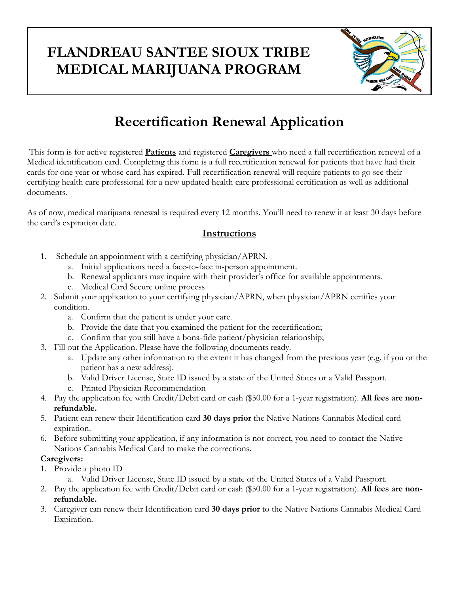### **FLANDREAU SANTEE SIOUX TRIBE MEDICAL MARIJUANA PROGRAM**



## **Recertification Renewal Application**

This form is for active registered **Patients** and registered **Caregivers** who need a full recertification renewal of a Medical identification card. Completing this form is a full recertification renewal for patients that have had their cards for one year or whose card has expired. Full recertification renewal will require patients to go see their certifying health care professional for a new updated health care professional certification as well as additional documents.

As of now, medical marijuana renewal is required every 12 months. You'll need to renew it at least 30 days before the card's expiration date.

### **Instructions**

- 1. Schedule an appointment with a certifying physician/APRN.
	- a. Initial applications need a face-to-face in-person appointment.
	- b. Renewal applicants may inquire with their provider's office for available appointments.
	- c. Medical Card Secure online process
- 2. Submit your application to your certifying physician/APRN, when physician/APRN certifies your condition.
	- a. Confirm that the patient is under your care.
	- b. Provide the date that you examined the patient for the recertification;
	- c. Confirm that you still have a bona-fide patient/physician relationship;
- 3. Fill out the Application. Please have the following documents ready.
	- a. Update any other information to the extent it has changed from the previous year (e.g. if you or the patient has a new address).
	- b. Valid Driver License, State ID issued by a state of the United States or a Valid Passport.
	- c. Printed Physician Recommendation
- 4. Pay the application fee with Credit/Debit card or cash (\$50.00 for a 1-year registration). **All fees are nonrefundable.**
- 5. Patient can renew their Identification card **30 days prior** the Native Nations Cannabis Medical card expiration.
- 6. Before submitting your application, if any information is not correct, you need to contact the Native Nations Cannabis Medical Card to make the corrections.

### **Caregivers:**

- 1. Provide a photo ID
	- a. Valid Driver License, State ID issued by a state of the United States of a Valid Passport.
- 2. Pay the application fee with Credit/Debit card or cash (\$50.00 for a 1-year registration). **All fees are nonrefundable.**
- 3. Caregiver can renew their Identification card **30 days prior** to the Native Nations Cannabis Medical Card Expiration.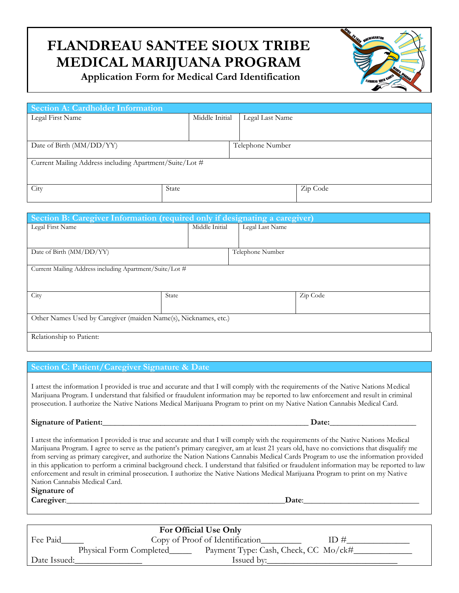# **FLANDREAU SANTEE SIOUX TRIBE MEDICAL MARIJUANA PROGRAM**

 **Application Form for Medical Card Identification**



| Section A: Cardholder Information                       |       |                                   |          |  |  |  |
|---------------------------------------------------------|-------|-----------------------------------|----------|--|--|--|
| Legal First Name                                        |       | Middle Initial<br>Legal Last Name |          |  |  |  |
|                                                         |       |                                   |          |  |  |  |
|                                                         |       |                                   |          |  |  |  |
| Date of Birth (MM/DD/YY)                                |       | Telephone Number                  |          |  |  |  |
|                                                         |       |                                   |          |  |  |  |
| Current Mailing Address including Apartment/Suite/Lot # |       |                                   |          |  |  |  |
|                                                         |       |                                   |          |  |  |  |
|                                                         |       |                                   |          |  |  |  |
| City                                                    | State |                                   | Zip Code |  |  |  |
|                                                         |       |                                   |          |  |  |  |

| Section B: Caregiver Information (required only if designating a caregiver) |                |                  |  |  |  |  |  |
|-----------------------------------------------------------------------------|----------------|------------------|--|--|--|--|--|
| Legal First Name                                                            | Middle Initial | Legal Last Name  |  |  |  |  |  |
|                                                                             |                |                  |  |  |  |  |  |
| Date of Birth (MM/DD/YY)                                                    |                | Telephone Number |  |  |  |  |  |
|                                                                             |                |                  |  |  |  |  |  |
| Current Mailing Address including Apartment/Suite/Lot #                     |                |                  |  |  |  |  |  |
|                                                                             |                |                  |  |  |  |  |  |
|                                                                             |                |                  |  |  |  |  |  |
| City                                                                        | State          | Zip Code         |  |  |  |  |  |
|                                                                             |                |                  |  |  |  |  |  |
| Other Names Used by Caregiver (maiden Name(s), Nicknames, etc.)             |                |                  |  |  |  |  |  |
|                                                                             |                |                  |  |  |  |  |  |
| Relationship to Patient:                                                    |                |                  |  |  |  |  |  |

#### **Section C: Patient/Caregiver Signature & Date**

I attest the information I provided is true and accurate and that I will comply with the requirements of the Native Nations Medical Marijuana Program. I understand that falsified or fraudulent information may be reported to law enforcement and result in criminal prosecution. I authorize the Native Nations Medical Marijuana Program to print on my Native Nation Cannabis Medical Card.

#### **Signature of Patient:\_\_\_\_\_\_\_\_\_\_\_\_\_\_\_\_\_\_\_\_\_\_\_\_\_\_\_\_\_\_\_\_\_\_\_\_\_\_\_\_\_\_\_\_\_\_\_\_\_\_ Date:\_\_\_\_\_\_\_\_\_\_\_\_\_\_\_\_\_\_\_\_\_**

I attest the information I provided is true and accurate and that I will comply with the requirements of the Native Nations Medical Marijuana Program. I agree to serve as the patient's primary caregiver, am at least 21 years old, have no convictions that disqualify me from serving as primary caregiver, and authorize the Nation Nations Cannabis Medical Cards Program to use the information provided in this application to perform a criminal background check. I understand that falsified or fraudulent information may be reported to law enforcement and result in criminal prosecution. I authorize the Native Nations Medical Marijuana Program to print on my Native Nation Cannabis Medical Card.

#### **Signature of**

**Caregiver: Caregiver:** 

| For Official Use Only |                                                                 |     |  |  |  |  |
|-----------------------|-----------------------------------------------------------------|-----|--|--|--|--|
| Fee Paid              | Copy of Proof of Identification                                 | ID# |  |  |  |  |
|                       | Payment Type: Cash, Check, CC Mo/ck#<br>Physical Form Completed |     |  |  |  |  |
| Date Issued:          | Issued by:                                                      |     |  |  |  |  |